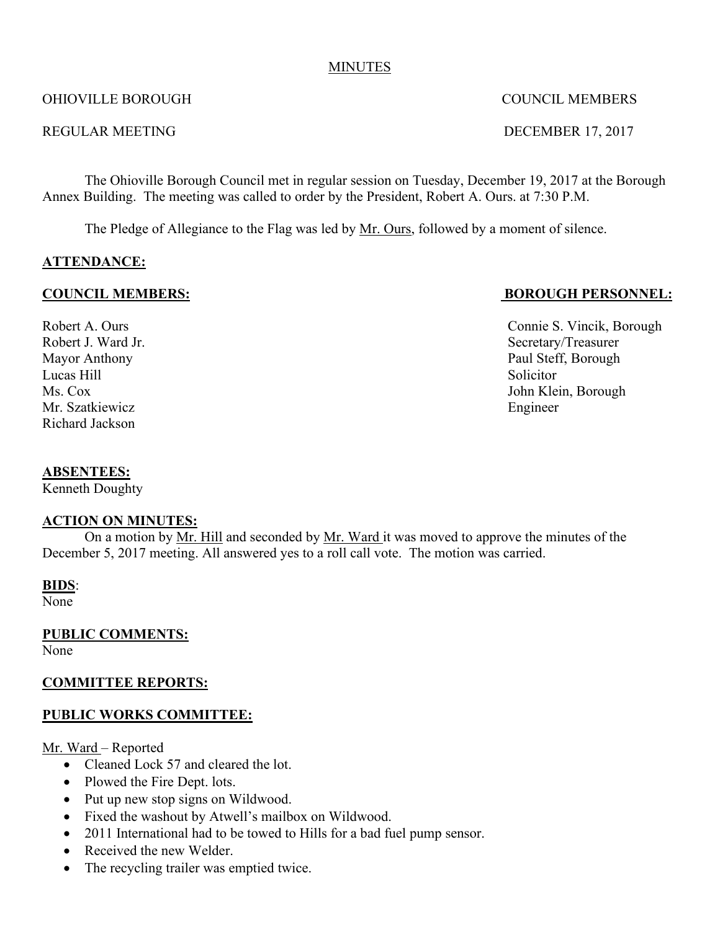#### MINUTES

#### OHIOVILLE BOROUGH COUNCIL MEMBERS

#### REGULAR MEETING DECEMBER 17, 2017

The Ohioville Borough Council met in regular session on Tuesday, December 19, 2017 at the Borough Annex Building. The meeting was called to order by the President, Robert A. Ours. at 7:30 P.M.

The Pledge of Allegiance to the Flag was led by Mr. Ours, followed by a moment of silence.

## **ATTENDANCE:**

#### **COUNCIL MEMBERS: BOROUGH PERSONNEL:**

Lucas Hill Solicitor Mr. Szatkiewicz Engineer Richard Jackson

#### **ABSENTEES:**

Kenneth Doughty

#### **ACTION ON MINUTES:**

On a motion by Mr. Hill and seconded by Mr. Ward it was moved to approve the minutes of the December 5, 2017 meeting. All answered yes to a roll call vote. The motion was carried.

#### **BIDS**:

None<sup>1</sup>

**PUBLIC COMMENTS:**

None

#### **COMMITTEE REPORTS:**

## **PUBLIC WORKS COMMITTEE:**

Mr. Ward – Reported

- Cleaned Lock 57 and cleared the lot.
- Plowed the Fire Dept. lots.
- Put up new stop signs on Wildwood.
- Fixed the washout by Atwell's mailbox on Wildwood.
- 2011 International had to be towed to Hills for a bad fuel pump sensor.
- Received the new Welder.
- The recycling trailer was emptied twice.

Robert A. Ours Connie S. Vincik, Borough Robert J. Ward Jr. Secretary/Treasurer Mayor Anthony Paul Steff, Borough Ms. Cox John Klein, Borough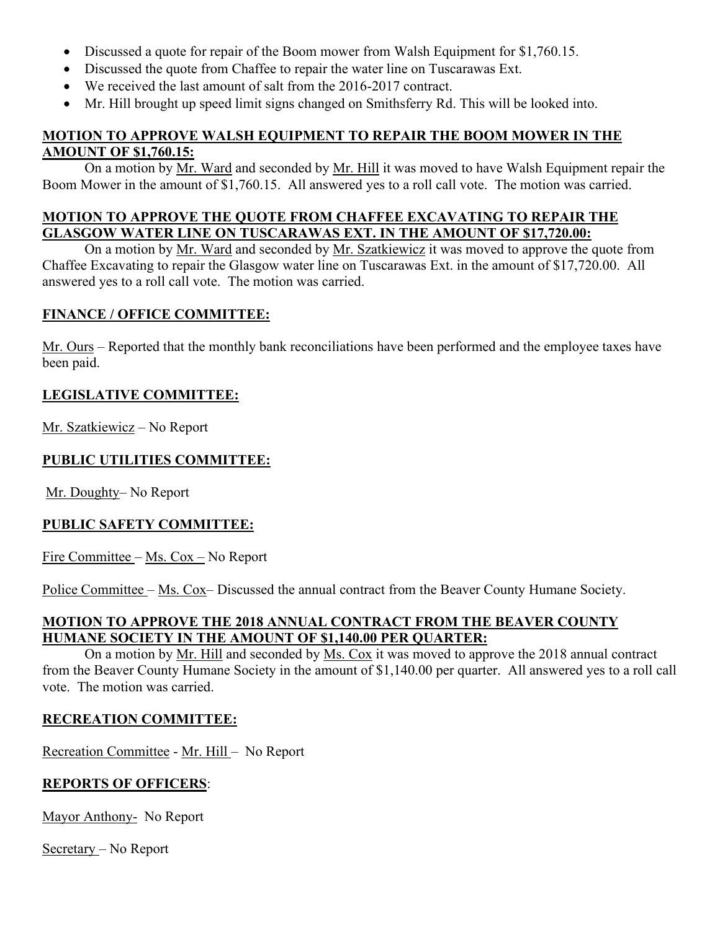- Discussed a quote for repair of the Boom mower from Walsh Equipment for \$1,760.15.
- Discussed the quote from Chaffee to repair the water line on Tuscarawas Ext.
- We received the last amount of salt from the 2016-2017 contract.
- Mr. Hill brought up speed limit signs changed on Smithsferry Rd. This will be looked into.

#### **MOTION TO APPROVE WALSH EQUIPMENT TO REPAIR THE BOOM MOWER IN THE AMOUNT OF \$1,760.15:**

On a motion by Mr. Ward and seconded by Mr. Hill it was moved to have Walsh Equipment repair the Boom Mower in the amount of \$1,760.15. All answered yes to a roll call vote. The motion was carried.

## **MOTION TO APPROVE THE QUOTE FROM CHAFFEE EXCAVATING TO REPAIR THE GLASGOW WATER LINE ON TUSCARAWAS EXT. IN THE AMOUNT OF \$17,720.00:**

On a motion by Mr. Ward and seconded by Mr. Szatkiewicz it was moved to approve the quote from Chaffee Excavating to repair the Glasgow water line on Tuscarawas Ext. in the amount of \$17,720.00. All answered yes to a roll call vote. The motion was carried.

## **FINANCE / OFFICE COMMITTEE:**

Mr. Ours – Reported that the monthly bank reconciliations have been performed and the employee taxes have been paid.

## **LEGISLATIVE COMMITTEE:**

Mr. Szatkiewicz – No Report

# **PUBLIC UTILITIES COMMITTEE:**

Mr. Doughty– No Report

## **PUBLIC SAFETY COMMITTEE:**

Fire Committee – Ms. Cox – No Report

Police Committee – Ms. Cox– Discussed the annual contract from the Beaver County Humane Society.

# **MOTION TO APPROVE THE 2018 ANNUAL CONTRACT FROM THE BEAVER COUNTY HUMANE SOCIETY IN THE AMOUNT OF \$1,140.00 PER QUARTER:**

On a motion by Mr. Hill and seconded by Ms. Cox it was moved to approve the 2018 annual contract from the Beaver County Humane Society in the amount of \$1,140.00 per quarter. All answered yes to a roll call vote. The motion was carried.

## **RECREATION COMMITTEE:**

Recreation Committee - Mr. Hill – No Report

## **REPORTS OF OFFICERS**:

Mayor Anthony- No Report

Secretary – No Report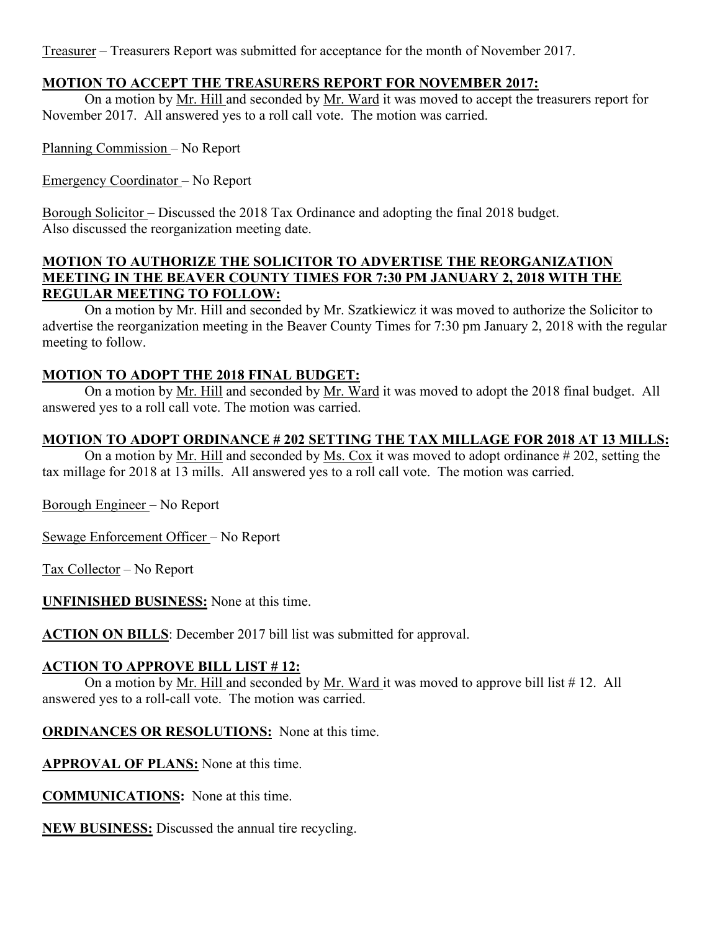Treasurer – Treasurers Report was submitted for acceptance for the month of November 2017.

# **MOTION TO ACCEPT THE TREASURERS REPORT FOR NOVEMBER 2017:**

On a motion by Mr. Hill and seconded by Mr. Ward it was moved to accept the treasurers report for November 2017. All answered yes to a roll call vote. The motion was carried.

Planning Commission – No Report

Emergency Coordinator – No Report

Borough Solicitor – Discussed the 2018 Tax Ordinance and adopting the final 2018 budget. Also discussed the reorganization meeting date.

## **MOTION TO AUTHORIZE THE SOLICITOR TO ADVERTISE THE REORGANIZATION MEETING IN THE BEAVER COUNTY TIMES FOR 7:30 PM JANUARY 2, 2018 WITH THE REGULAR MEETING TO FOLLOW:**

On a motion by Mr. Hill and seconded by Mr. Szatkiewicz it was moved to authorize the Solicitor to advertise the reorganization meeting in the Beaver County Times for 7:30 pm January 2, 2018 with the regular meeting to follow.

# **MOTION TO ADOPT THE 2018 FINAL BUDGET:**

On a motion by Mr. Hill and seconded by Mr. Ward it was moved to adopt the 2018 final budget. All answered yes to a roll call vote. The motion was carried.

# **MOTION TO ADOPT ORDINANCE # 202 SETTING THE TAX MILLAGE FOR 2018 AT 13 MILLS:**

On a motion by Mr. Hill and seconded by Ms. Cox it was moved to adopt ordinance # 202, setting the tax millage for 2018 at 13 mills. All answered yes to a roll call vote. The motion was carried.

Borough Engineer – No Report

Sewage Enforcement Officer – No Report

Tax Collector – No Report

**UNFINISHED BUSINESS:** None at this time.

**ACTION ON BILLS**: December 2017 bill list was submitted for approval.

# **ACTION TO APPROVE BILL LIST # 12:**

On a motion by Mr. Hill and seconded by Mr. Ward it was moved to approve bill list # 12. All answered yes to a roll-call vote. The motion was carried.

**ORDINANCES OR RESOLUTIONS:** None at this time.

**APPROVAL OF PLANS:** None at this time.

**COMMUNICATIONS:** None at this time.

**NEW BUSINESS:** Discussed the annual tire recycling.